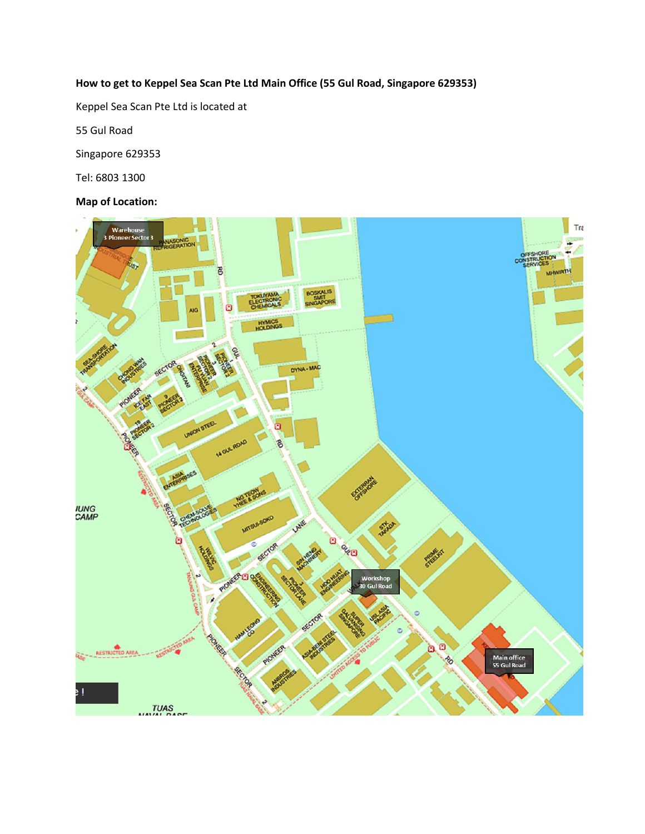## **How to get to Keppel Sea Scan Pte Ltd Main Office (55 Gul Road, Singapore 629353)**

Keppel Sea Scan Pte Ltd is located at

55 Gul Road

Singapore 629353

Tel: 6803 1300

### **Map of Location:**

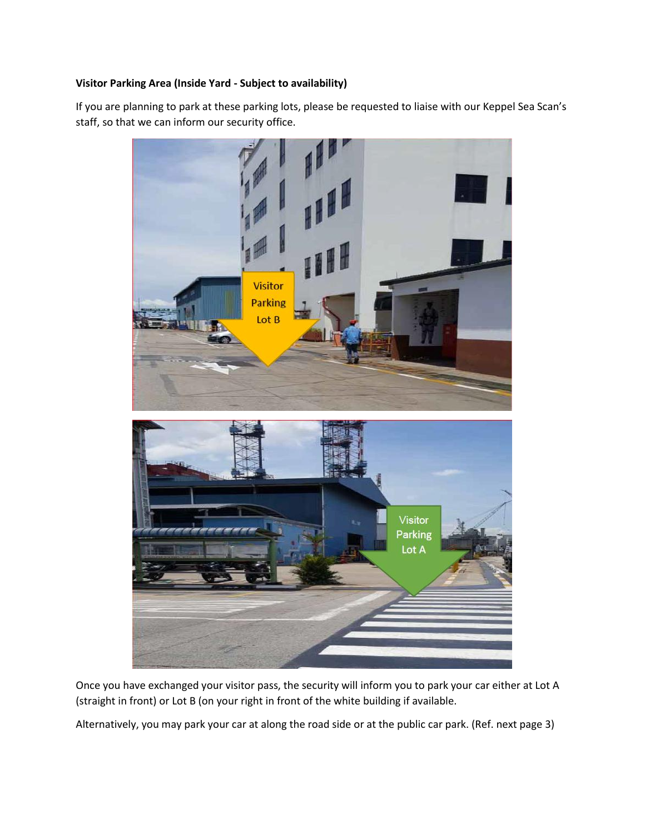### **Visitor Parking Area (Inside Yard - Subject to availability)**

If you are planning to park at these parking lots, please be requested to liaise with our Keppel Sea Scan's staff, so that we can inform our security office.



Once you have exchanged your visitor pass, the security will inform you to park your car either at Lot A (straight in front) or Lot B (on your right in front of the white building if available.

Alternatively, you may park your car at along the road side or at the public car park. (Ref. next page 3)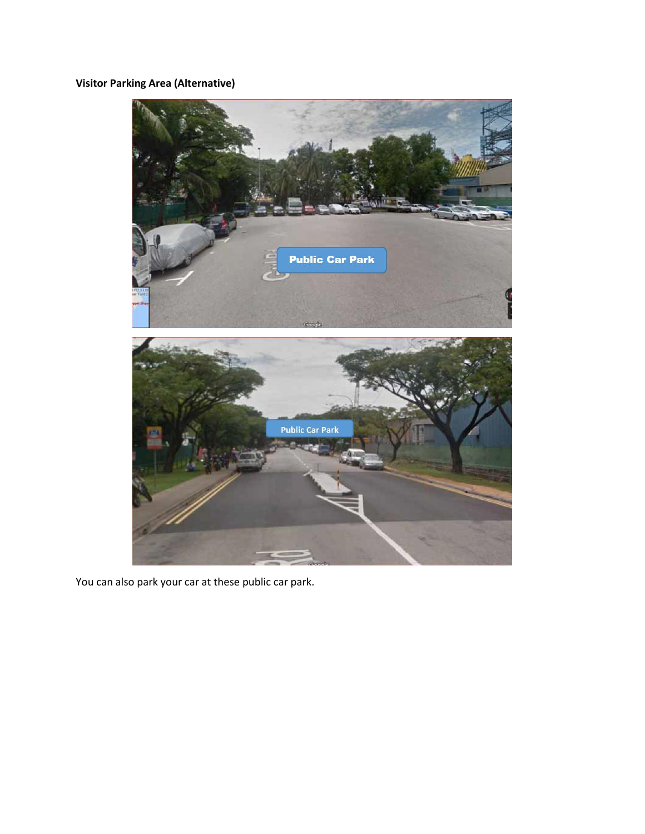# **Visitor Parking Area (Alternative)**



You can also park your car at these public car park.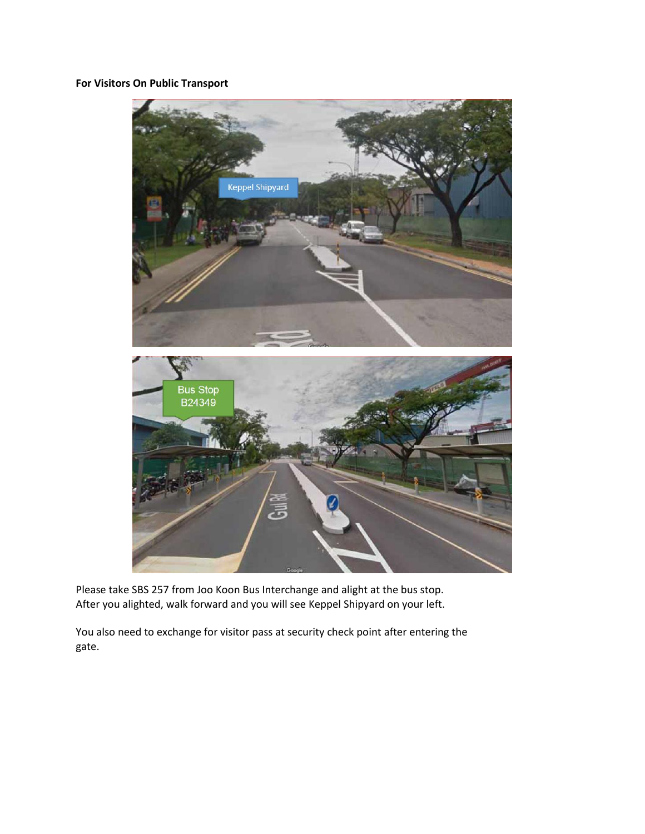## **For Visitors On Public Transport**



Please take SBS 257 from Joo Koon Bus Interchange and alight at the bus stop. After you alighted, walk forward and you will see Keppel Shipyard on your left.

You also need to exchange for visitor pass at security check point after entering the gate.